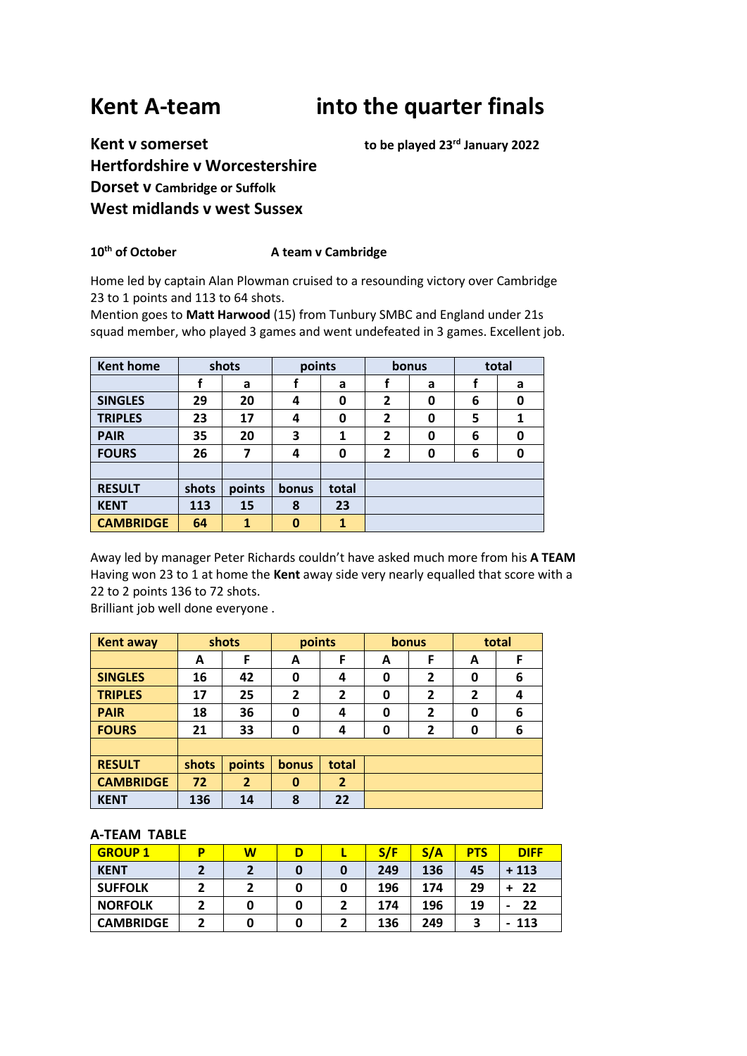# **Kent A-team into the quarter finals**

## **Kent v somerset to be played 23rd January 2022 Hertfordshire v Worcestershire Dorset v Cambridge or Suffolk West midlands v west Sussex**

### 10<sup>th</sup> of October **A** team v Cambridge

Home led by captain Alan Plowman cruised to a resounding victory over Cambridge 23 to 1 points and 113 to 64 shots.

Mention goes to **Matt Harwood** (15) from Tunbury SMBC and England under 21s squad member, who played 3 games and went undefeated in 3 games. Excellent job.

| Kent home        |       | shots  | points   |       |                | bonus | total |   |
|------------------|-------|--------|----------|-------|----------------|-------|-------|---|
|                  |       | a      |          | a     |                | a     |       | a |
| <b>SINGLES</b>   | 29    | 20     | 4        | 0     | $\overline{2}$ | 0     | 6     | 0 |
| <b>TRIPLES</b>   | 23    | 17     | 4        | 0     | $\overline{2}$ | 0     | 5     |   |
| <b>PAIR</b>      | 35    | 20     | 3        | 1     | $\overline{2}$ | 0     | 6     | 0 |
| <b>FOURS</b>     | 26    | 7      | 4        | 0     | $\overline{2}$ | 0     | 6     | 0 |
|                  |       |        |          |       |                |       |       |   |
| <b>RESULT</b>    | shots | points | bonus    | total |                |       |       |   |
| <b>KENT</b>      | 113   | 15     | 8        | 23    |                |       |       |   |
| <b>CAMBRIDGE</b> | 64    | 1      | $\bf{0}$ | 1     |                |       |       |   |

Away led by manager Peter Richards couldn't have asked much more from his **A TEAM** Having won 23 to 1 at home the **Kent** away side very nearly equalled that score with a 22 to 2 points 136 to 72 shots.

Brilliant job well done everyone .

| <b>Kent away</b> | shots |                |       | points         |   | <b>bonus</b>   |   | total |  |
|------------------|-------|----------------|-------|----------------|---|----------------|---|-------|--|
|                  | A     | F              | A     | F              | A | F              | A | F     |  |
| <b>SINGLES</b>   | 16    | 42             | 0     | 4              | 0 | $\overline{2}$ | 0 | 6     |  |
| <b>TRIPLES</b>   | 17    | 25             | 2     | $\mathbf{2}$   | 0 | $\mathbf{2}$   | 2 | 4     |  |
| <b>PAIR</b>      | 18    | 36             | 0     | 4              | 0 | $\mathbf{2}$   | 0 | 6     |  |
| <b>FOURS</b>     | 21    | 33             | 0     | 4              | 0 | $\overline{2}$ | 0 | 6     |  |
|                  |       |                |       |                |   |                |   |       |  |
| <b>RESULT</b>    | shots | points         | bonus | total          |   |                |   |       |  |
| <b>CAMBRIDGE</b> | 72    | $\overline{2}$ | 0     | $\overline{2}$ |   |                |   |       |  |
| <b>KENT</b>      | 136   | 14             | 8     | 22             |   |                |   |       |  |

#### **A-TEAM TABLE**

| <b>GROUP 1</b>   | D | W | D |   | S/F | S/A | <b>PTS</b> | <b>DIFF</b> |
|------------------|---|---|---|---|-----|-----|------------|-------------|
| <b>KENT</b>      |   |   | O | 0 | 249 | 136 | 45         | $+113$      |
| <b>SUFFOLK</b>   |   |   | 0 | O | 196 | 174 | 29         | 22          |
| <b>NORFOLK</b>   |   | 0 | 0 |   | 174 | 196 | 19         | 22<br>-     |
| <b>CAMBRIDGE</b> |   | 0 | 0 |   | 136 | 249 | 3          | - 113       |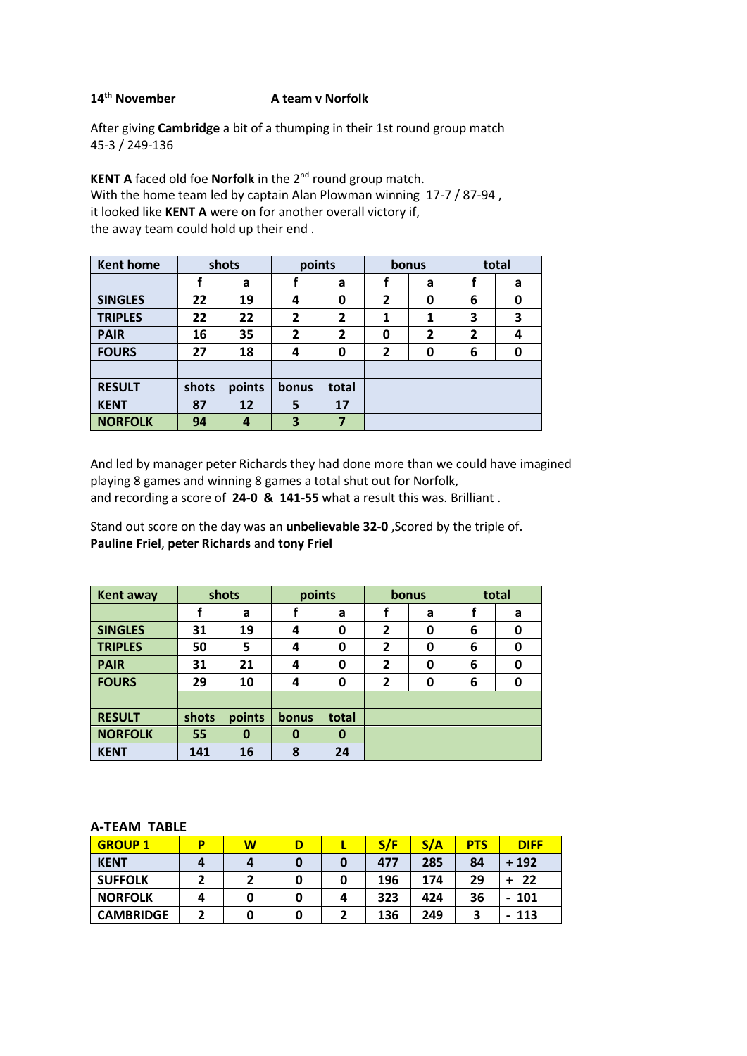#### **14th November A team v Norfolk**

After giving **Cambridge** a bit of a thumping in their 1st round group match 45-3 / 249-136

**KENT A** faced old foe **Norfolk** in the 2nd round group match. With the home team led by captain Alan Plowman winning 17-7 / 87-94 , it looked like **KENT A** were on for another overall victory if, the away team could hold up their end .

| <b>Kent home</b> |       | shots  | points         |              | bonus          |   | total          |   |
|------------------|-------|--------|----------------|--------------|----------------|---|----------------|---|
|                  |       | a      |                | a            |                | a |                | a |
| <b>SINGLES</b>   | 22    | 19     | 4              | 0            | $\overline{2}$ | 0 | 6              | 0 |
| <b>TRIPLES</b>   | 22    | 22     | 2              | 2            | 1              | 1 | 3              | 3 |
| <b>PAIR</b>      | 16    | 35     | $\overline{2}$ | $\mathbf{2}$ | 0              | 2 | $\overline{2}$ | 4 |
| <b>FOURS</b>     | 27    | 18     | 4              | 0            | $\overline{2}$ | 0 | 6              | 0 |
|                  |       |        |                |              |                |   |                |   |
| <b>RESULT</b>    | shots | points | bonus          | total        |                |   |                |   |
| <b>KENT</b>      | 87    | 12     | 5              | 17           |                |   |                |   |
| <b>NORFOLK</b>   | 94    | 4      | 3              | 7            |                |   |                |   |

And led by manager peter Richards they had done more than we could have imagined playing 8 games and winning 8 games a total shut out for Norfolk, and recording a score of **24-0 & 141-55** what a result this was. Brilliant .

Stand out score on the day was an **unbelievable 32-0** ,Scored by the triple of. **Pauline Friel**, **peter Richards** and **tony Friel**

| <b>Kent away</b> |       | shots  | points |       |                | bonus | total |   |
|------------------|-------|--------|--------|-------|----------------|-------|-------|---|
|                  |       | a      |        | a     |                | a     |       | a |
| <b>SINGLES</b>   | 31    | 19     | 4      | 0     | $\mathbf{2}$   | 0     | 6     | 0 |
| <b>TRIPLES</b>   | 50    | 5      | 4      | 0     | 2              | 0     | 6     | 0 |
| <b>PAIR</b>      | 31    | 21     | 4      | 0     | $\overline{2}$ | 0     | 6     | 0 |
| <b>FOURS</b>     | 29    | 10     | 4      | 0     | $\overline{2}$ | 0     | 6     | 0 |
|                  |       |        |        |       |                |       |       |   |
| <b>RESULT</b>    | shots | points | bonus  | total |                |       |       |   |
| <b>NORFOLK</b>   | 55    | 0      | 0      | 0     |                |       |       |   |
| <b>KENT</b>      | 141   | 16     | 8      | 24    |                |       |       |   |

#### **A-TEAM TABLE**

| <b>GROUP 1</b>   | D | W |   |   | S/F | S/A | <b>PTS</b> | <b>DIFF</b> |
|------------------|---|---|---|---|-----|-----|------------|-------------|
| <b>KENT</b>      | 4 |   |   | 0 | 477 | 285 | 84         | $+192$      |
| <b>SUFFOLK</b>   |   |   |   | 0 | 196 | 174 | 29         | -22         |
| <b>NORFOLK</b>   | 4 |   |   | 4 | 323 | 424 | 36         | - 101       |
| <b>CAMBRIDGE</b> |   |   | 0 |   | 136 | 249 |            | 113         |